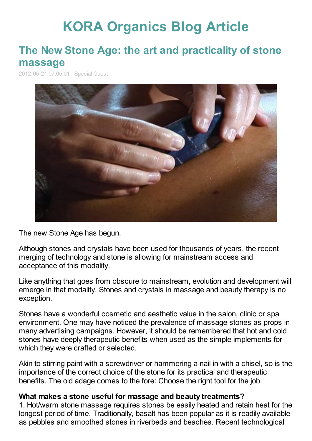# **KORA [Organics](http://www.koraorganics.com/blog) Blog Article**

# **The New Stone Age: the art and [practicality](http://www.koraorganics.com/blog/live-in-my-skin/all-things-organic/organic-certification/the-new-stone-age-the-art-and-practicality-of-stone-massage/) of stone massage**

2012-05-21 07:05:01 Special Guest



The new Stone Age has begun.

Although stones and crystals have been used for thousands of years, the recent merging of technology and stone is allowing for mainstream access and acceptance of this modality.

Like anything that goes from obscure to mainstream, evolution and development will emerge in that modality. Stones and crystals in massage and beauty therapy is no exception.

Stones have a wonderful cosmetic and aesthetic value in the salon, clinic or spa environment. One may have noticed the prevalence of massage stones as props in many advertising campaigns. However, it should be remembered that hot and cold stones have deeply therapeutic benefits when used as the simple implements for which they were crafted or selected.

Akin to stirring paint with a screwdriver or hammering a nail in with a chisel, so is the importance of the correct choice of the stone for its practical and therapeutic benefits. The old adage comes to the fore: Choose the right tool for the job.

#### **What makes a stone useful for massage and beauty treatments?**

1. Hot/warm stone massage requires stones be easily heated and retain heat for the longest period of time. Traditionally, basalt has been popular as it is readily available as pebbles and smoothed stones in riverbeds and beaches. Recent technological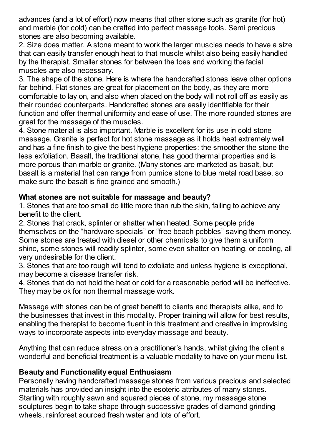advances (and a lot of effort) now means that other stone such as granite (for hot) and marble (for cold) can be crafted into perfect massage tools. Semi precious stones are also becoming available.

2. Size does matter. A stone meant to work the larger muscles needs to have a size that can easily transfer enough heat to that muscle whilst also being easily handled by the therapist. Smaller stones for between the toes and working the facial muscles are also necessary.

3. The shape of the stone. Here is where the handcrafted stones leave other options far behind. Flat stones are great for placement on the body, as they are more comfortable to lay on, and also when placed on the body will not roll off as easily as their rounded counterparts. Handcrafted stones are easily identifiable for their function and offer thermal uniformity and ease of use. The more rounded stones are great for the massage of the muscles.

4. Stone material is also important. Marble is excellent for its use in cold stone massage. Granite is perfect for hot stone massage as it holds heat extremely well and has a fine finish to give the best hygiene properties: the smoother the stone the less exfoliation. Basalt, the traditional stone, has good thermal properties and is more porous than marble or granite. (Many stones are marketed as basalt, but basalt is a material that can range from pumice stone to blue metal road base, so make sure the basalt is fine grained and smooth.)

## **What stones are not suitable for massage and beauty?**

1. Stones that are too small do little more than rub the skin, failing to achieve any benefit to the client.

2. Stones that crack, splinter or shatter when heated. Some people pride themselves on the "hardware specials" or "free beach pebbles" saving them money. Some stones are treated with diesel or other chemicals to give them a uniform shine, some stones will readily splinter, some even shatter on heating, or cooling, all very undesirable for the client.

3. Stones that are too rough will tend to exfoliate and unless hygiene is exceptional, may become a disease transfer risk.

4. Stones that do not hold the heat or cold for a reasonable period will be ineffective. They may be ok for non thermal massage work.

Massage with stones can be of great benefit to clients and therapists alike, and to the businesses that invest in this modality. Proper training will allow for best results, enabling the therapist to become fluent in this treatment and creative in improvising ways to incorporate aspects into everyday massage and beauty.

Anything that can reduce stress on a practitioner's hands, whilst giving the client a wonderful and beneficial treatment is a valuable modality to have on your menu list.

### **Beauty and Functionality equal Enthusiasm**

Personally having handcrafted massage stones from various precious and selected materials has provided an insight into the esoteric attributes of many stones. Starting with roughly sawn and squared pieces of stone, my massage stone sculptures begin to take shape through successive grades of diamond grinding wheels, rainforest sourced fresh water and lots of effort.